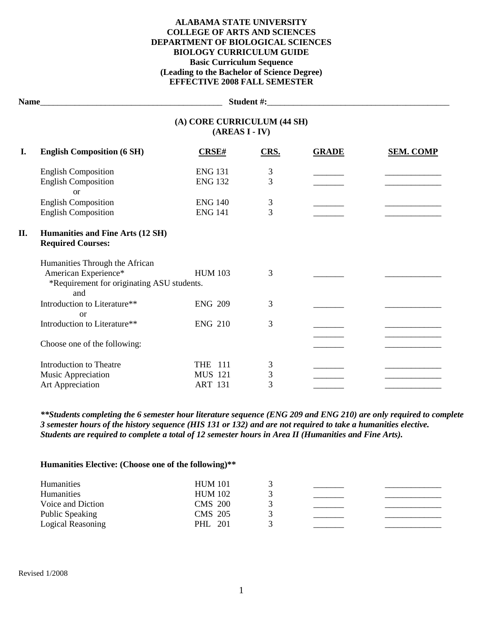## **ALABAMA STATE UNIVERSITY COLLEGE OF ARTS AND SCIENCES DEPARTMENT OF BIOLOGICAL SCIENCES BIOLOGY CURRICULUM GUIDE Basic Curriculum Sequence (Leading to the Bachelor of Science Degree) EFFECTIVE 2008 FALL SEMESTER**

**Name**\_\_\_\_\_\_\_\_\_\_\_\_\_\_\_\_\_\_\_\_\_\_\_\_\_\_\_\_\_\_\_\_\_\_\_\_\_\_\_\_\_\_ **Student #:**\_\_\_\_\_\_\_\_\_\_\_\_\_\_\_\_\_\_\_\_\_\_\_\_\_\_\_\_\_\_\_\_\_\_\_\_\_\_\_\_\_\_

|    | (A) CORE CURRICULUM (44 SH)<br>$(AREAS I - IV)$                                                             |                |                |              |                  |  |
|----|-------------------------------------------------------------------------------------------------------------|----------------|----------------|--------------|------------------|--|
| I. | <b>English Composition (6 SH)</b>                                                                           | CRSE#          | CRS.           | <b>GRADE</b> | <b>SEM. COMP</b> |  |
|    | <b>English Composition</b>                                                                                  | <b>ENG 131</b> | 3              |              |                  |  |
|    | <b>English Composition</b><br><b>or</b>                                                                     | <b>ENG 132</b> | 3              |              |                  |  |
|    | <b>English Composition</b>                                                                                  | <b>ENG 140</b> | $\mathfrak{Z}$ |              |                  |  |
|    | <b>English Composition</b>                                                                                  | <b>ENG 141</b> | $\overline{3}$ |              |                  |  |
| П. | Humanities and Fine Arts (12 SH)<br><b>Required Courses:</b>                                                |                |                |              |                  |  |
|    | Humanities Through the African<br>American Experience*<br>*Requirement for originating ASU students.<br>and | <b>HUM 103</b> | 3              |              |                  |  |
|    | Introduction to Literature**<br>or                                                                          | <b>ENG 209</b> | 3              |              |                  |  |
|    | Introduction to Literature**                                                                                | <b>ENG 210</b> | 3              |              |                  |  |
|    | Choose one of the following:                                                                                |                |                |              |                  |  |
|    | <b>Introduction to Theatre</b>                                                                              | <b>THE 111</b> | 3              |              |                  |  |
|    | Music Appreciation                                                                                          | <b>MUS 121</b> | 3              |              |                  |  |
|    | Art Appreciation                                                                                            | <b>ART 131</b> | 3              |              |                  |  |

*\*\*Students completing the 6 semester hour literature sequence (ENG 209 and ENG 210) are only required to complete 3 semester hours of the history sequence (HIS 131 or 132) and are not required to take a humanities elective. Students are required to complete a total of 12 semester hours in Area II (Humanities and Fine Arts).*

**Humanities Elective: (Choose one of the following)\*\***

| <b>Humanities</b> | <b>HUM 101</b> |  |  |
|-------------------|----------------|--|--|
| <b>Humanities</b> | <b>HUM 102</b> |  |  |
| Voice and Diction | <b>CMS</b> 200 |  |  |
| Public Speaking   | <b>CMS</b> 205 |  |  |
| Logical Reasoning | PHL 201        |  |  |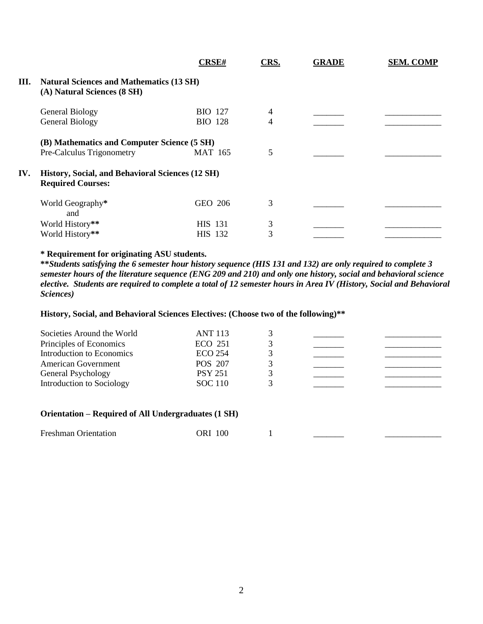|                                                                                | <b>CRSE#</b>   | CRS.                                                                                            | <b>GRADE</b> | <b>SEM. COMP</b> |  |  |
|--------------------------------------------------------------------------------|----------------|-------------------------------------------------------------------------------------------------|--------------|------------------|--|--|
| <b>Natural Sciences and Mathematics (13 SH)</b><br>(A) Natural Sciences (8 SH) |                |                                                                                                 |              |                  |  |  |
| General Biology                                                                | <b>BIO</b> 127 | 4                                                                                               |              |                  |  |  |
| <b>General Biology</b>                                                         | <b>BIO</b> 128 | 4                                                                                               |              |                  |  |  |
|                                                                                |                |                                                                                                 |              |                  |  |  |
| Pre-Calculus Trigonometry                                                      | <b>MAT 165</b> | 5                                                                                               |              |                  |  |  |
| <b>Required Courses:</b>                                                       |                |                                                                                                 |              |                  |  |  |
| World Geography*<br>and                                                        | GEO 206        | 3                                                                                               |              |                  |  |  |
| World History**                                                                | <b>HIS</b> 131 | 3                                                                                               |              |                  |  |  |
| World History**                                                                | HIS 132        | 3                                                                                               |              |                  |  |  |
|                                                                                |                | (B) Mathematics and Computer Science (5 SH)<br>History, Social, and Behavioral Sciences (12 SH) |              |                  |  |  |

# **\* Requirement for originating ASU students.**

**\*\****Students satisfying the 6 semester hour history sequence (HIS 131 and 132) are only required to complete 3 semester hours of the literature sequence (ENG 209 and 210) and only one history, social and behavioral science elective. Students are required to complete a total of 12 semester hours in Area IV (History, Social and Behavioral Sciences)*

### **History, Social, and Behavioral Sciences Electives: (Choose two of the following)\*\***

| Societies Around the World<br>Principles of Economics | <b>ANT 113</b><br><b>ECO 251</b> |  |  |
|-------------------------------------------------------|----------------------------------|--|--|
| Introduction to Economics                             | <b>ECO 254</b>                   |  |  |
| <b>American Government</b>                            | <b>POS 207</b>                   |  |  |
| General Psychology                                    | <b>PSY 251</b>                   |  |  |
| Introduction to Sociology                             | <b>SOC</b> 110                   |  |  |

#### **Orientation – Required of All Undergraduates (1 SH)**

| <b>Freshman Orientation</b> | 100<br>ік |  |  |  |
|-----------------------------|-----------|--|--|--|
|-----------------------------|-----------|--|--|--|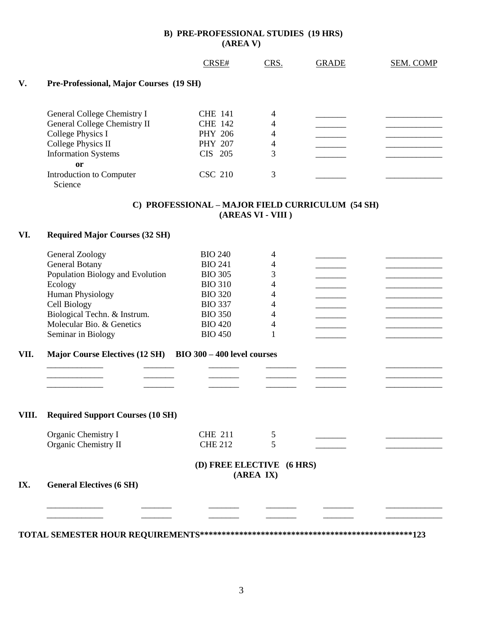## **B) PRE-PROFESSIONAL STUDIES (19 HRS) (AREA V)**

|       |                                                            | CRSE#                     | CRS.              | <b>GRADE</b>                                     | SEM. COMP |
|-------|------------------------------------------------------------|---------------------------|-------------------|--------------------------------------------------|-----------|
| V.    | Pre-Professional, Major Courses (19 SH)                    |                           |                   |                                                  |           |
|       |                                                            |                           |                   |                                                  |           |
|       | General College Chemistry I                                | <b>CHE 141</b>            | 4                 |                                                  |           |
|       | General College Chemistry II                               | <b>CHE 142</b>            | 4                 |                                                  |           |
|       | <b>College Physics I</b>                                   | <b>PHY 206</b>            | 4                 |                                                  |           |
|       | College Physics II                                         | PHY 207<br>CIS 205        | 4<br>3            |                                                  |           |
|       | <b>Information Systems</b>                                 |                           |                   |                                                  |           |
|       | or<br>Introduction to Computer<br>Science                  | <b>CSC 210</b>            | 3                 |                                                  |           |
|       |                                                            |                           | (AREAS VI - VIII) | C) PROFESSIONAL - MAJOR FIELD CURRICULUM (54 SH) |           |
| VI.   | <b>Required Major Courses (32 SH)</b>                      |                           |                   |                                                  |           |
|       | <b>General Zoology</b>                                     | <b>BIO 240</b>            | 4                 |                                                  |           |
|       | <b>General Botany</b>                                      | <b>BIO 241</b>            | 4                 |                                                  |           |
|       | Population Biology and Evolution                           | <b>BIO 305</b>            | 3                 |                                                  |           |
|       | Ecology                                                    | <b>BIO 310</b>            | 4                 |                                                  |           |
|       | <b>Human Physiology</b>                                    | <b>BIO 320</b>            | 4                 |                                                  |           |
|       | Cell Biology                                               | <b>BIO 337</b>            | 4                 |                                                  |           |
|       | Biological Techn. & Instrum.                               | <b>BIO 350</b>            | 4                 |                                                  |           |
|       | Molecular Bio. & Genetics                                  | <b>BIO 420</b>            | 4                 |                                                  |           |
|       | Seminar in Biology                                         | <b>BIO 450</b>            | 1                 |                                                  |           |
|       |                                                            |                           |                   |                                                  |           |
| VII.  | Major Course Electives (12 SH) BIO 300 - 400 level courses |                           |                   |                                                  |           |
|       |                                                            |                           |                   |                                                  |           |
|       |                                                            |                           |                   |                                                  |           |
|       |                                                            |                           |                   |                                                  |           |
| VIII. | <b>Required Support Courses (10 SH)</b>                    |                           |                   |                                                  |           |
|       | Organic Chemistry I                                        | <b>CHE 211</b>            | 5                 |                                                  |           |
|       | Organic Chemistry II                                       | <b>CHE 212</b>            | 5                 |                                                  |           |
|       |                                                            |                           |                   |                                                  |           |
|       |                                                            | (D) FREE ELECTIVE (6 HRS) | (AREA IX)         |                                                  |           |
| IX.   | <b>General Electives (6 SH)</b>                            |                           |                   |                                                  |           |
|       |                                                            |                           |                   |                                                  |           |
|       |                                                            |                           |                   |                                                  |           |
|       |                                                            |                           |                   |                                                  |           |